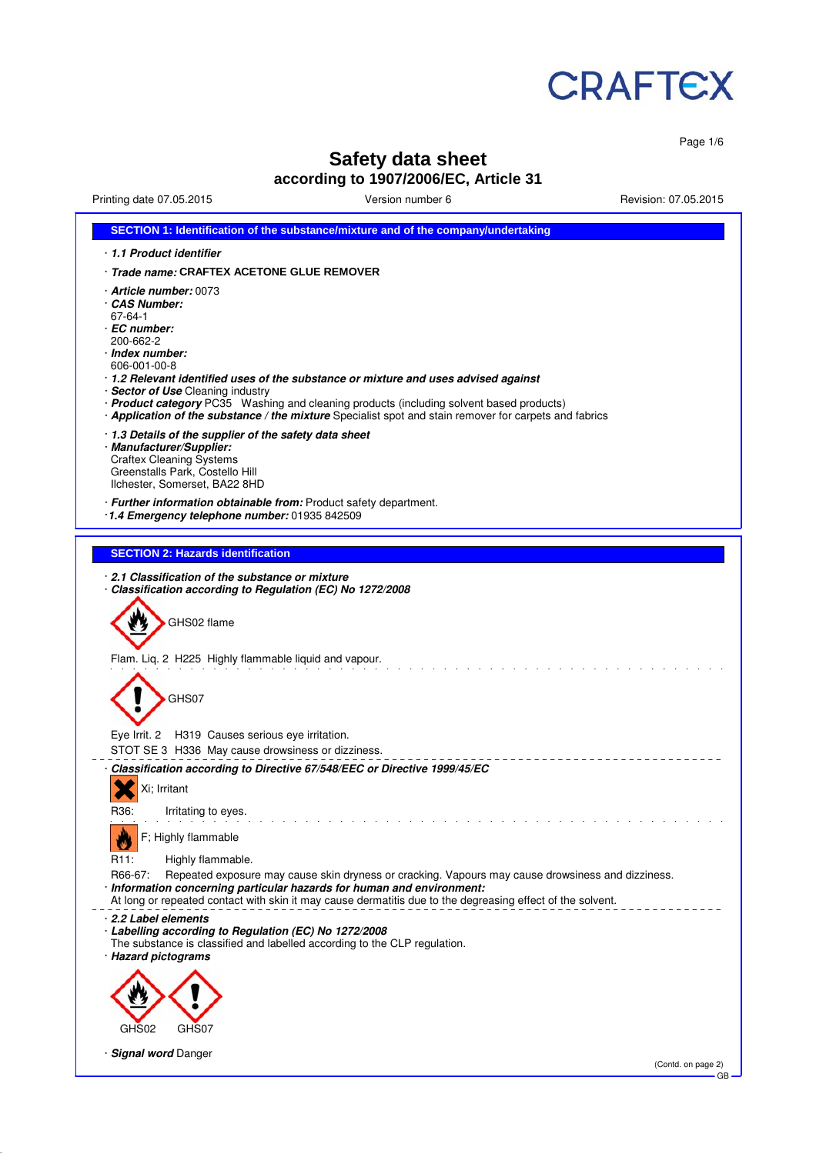

Page 1/6

# **Safety data sheet**

**according to 1907/2006/EC, Article 31**

Printing date 07.05.2015 Version number 6 Revision: 07.05.2015

| SECTION 1: Identification of the substance/mixture and of the company/undertaking                                                                                                                                                                                                                                                                                                                                                                           |
|-------------------------------------------------------------------------------------------------------------------------------------------------------------------------------------------------------------------------------------------------------------------------------------------------------------------------------------------------------------------------------------------------------------------------------------------------------------|
| 1.1 Product identifier                                                                                                                                                                                                                                                                                                                                                                                                                                      |
| · Trade name: CRAFTEX ACETONE GLUE REMOVER                                                                                                                                                                                                                                                                                                                                                                                                                  |
| · <b>Article number:</b> 0073<br>⋅ CAS Number:<br>67-64-1<br>· EC number:<br>200-662-2<br>· Index number:<br>606-001-00-8<br>⋅ 1.2 Relevant identified uses of the substance or mixture and uses advised against<br>· Sector of Use Cleaning industry<br>· Product category PC35 Washing and cleaning products (including solvent based products)<br>· Application of the substance / the mixture Specialist spot and stain remover for carpets and fabrics |
| 1.3 Details of the supplier of the safety data sheet<br>· Manufacturer/Supplier:<br><b>Craftex Cleaning Systems</b><br>Greenstalls Park, Costello Hill<br>Ilchester, Somerset, BA22 8HD                                                                                                                                                                                                                                                                     |
| · Further information obtainable from: Product safety department.<br>1.4 Emergency telephone number: 01935 842509                                                                                                                                                                                                                                                                                                                                           |
| <b>SECTION 2: Hazards identification</b>                                                                                                                                                                                                                                                                                                                                                                                                                    |
| 2.1 Classification of the substance or mixture                                                                                                                                                                                                                                                                                                                                                                                                              |
| · Classification according to Regulation (EC) No 1272/2008                                                                                                                                                                                                                                                                                                                                                                                                  |
| GHS02 flame                                                                                                                                                                                                                                                                                                                                                                                                                                                 |
| Flam. Liq. 2 H225 Highly flammable liquid and vapour.<br>GHS07                                                                                                                                                                                                                                                                                                                                                                                              |
| Eye Irrit. 2 H319 Causes serious eye irritation.<br>STOT SE 3 H336 May cause drowsiness or dizziness.                                                                                                                                                                                                                                                                                                                                                       |
| · Classification according to Directive 67/548/EEC or Directive 1999/45/EC                                                                                                                                                                                                                                                                                                                                                                                  |
| Xi; Irritant                                                                                                                                                                                                                                                                                                                                                                                                                                                |
| R36:<br>Irritating to eyes.                                                                                                                                                                                                                                                                                                                                                                                                                                 |
| F; Highly flammable                                                                                                                                                                                                                                                                                                                                                                                                                                         |
| R <sub>11</sub> :<br>Highly flammable.                                                                                                                                                                                                                                                                                                                                                                                                                      |
| R66-67:<br>Repeated exposure may cause skin dryness or cracking. Vapours may cause drowsiness and dizziness.<br>· Information concerning particular hazards for human and environment:<br>At long or repeated contact with skin it may cause dermatitis due to the degreasing effect of the solvent.                                                                                                                                                        |
| 2.2 Label elements<br>· Labelling according to Regulation (EC) No 1272/2008<br>The substance is classified and labelled according to the CLP regulation.<br>· Hazard pictograms                                                                                                                                                                                                                                                                             |
|                                                                                                                                                                                                                                                                                                                                                                                                                                                             |
| GHS02<br>GHS07                                                                                                                                                                                                                                                                                                                                                                                                                                              |
|                                                                                                                                                                                                                                                                                                                                                                                                                                                             |
| <b>Signal word Danger</b><br>(Contd. on page 2)<br>GB                                                                                                                                                                                                                                                                                                                                                                                                       |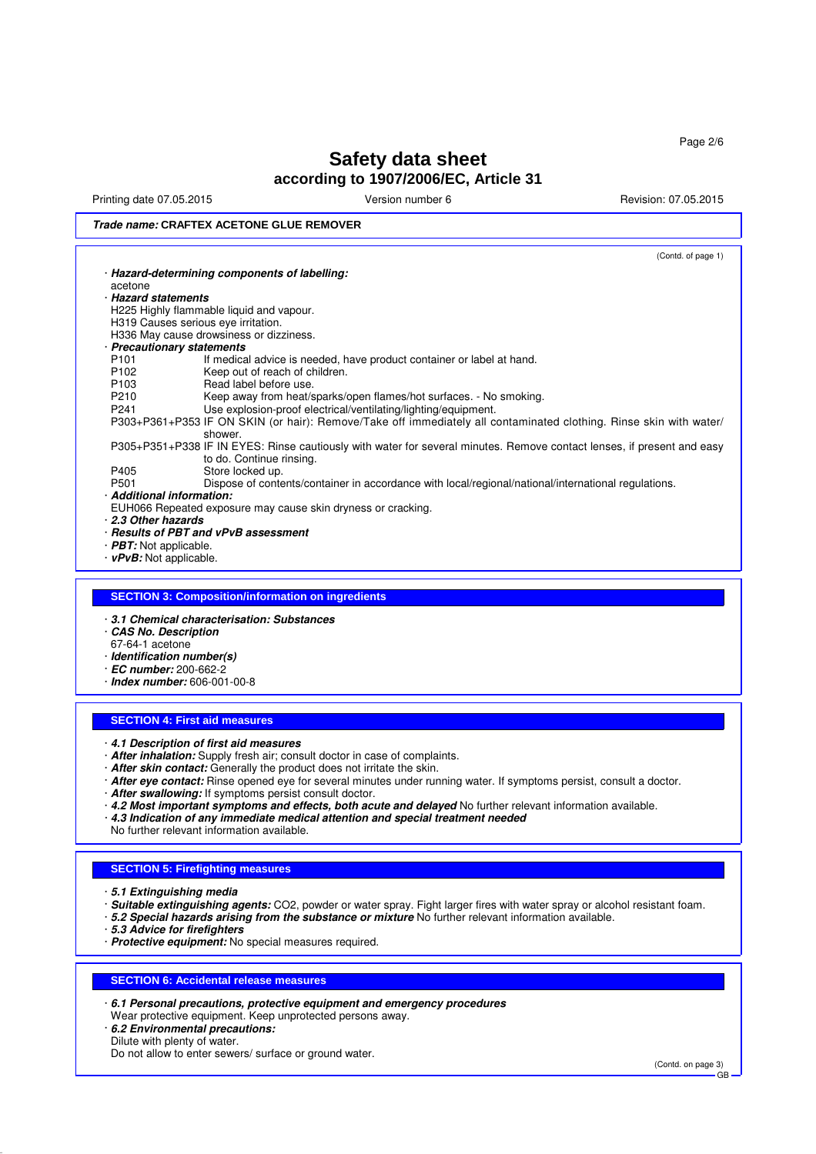Printing date 07.05.2015 **Version number 6** Newsley Revision: 07.05.2015

## **Trade name: CRAFTEX ACETONE GLUE REMOVER**

| · Hazard-determining components of labelling:<br>acetone<br>· Hazard statements<br>H225 Highly flammable liquid and vapour.<br>H319 Causes serious eye irritation.<br>H336 May cause drowsiness or dizziness.<br>· Precautionary statements<br>P <sub>101</sub><br>If medical advice is needed, have product container or label at hand.<br>P <sub>102</sub><br>Keep out of reach of children.<br>Read label before use.<br>P <sub>103</sub><br>Keep away from heat/sparks/open flames/hot surfaces. - No smoking.<br>P210<br>Use explosion-proof electrical/ventilating/lighting/equipment.<br>P <sub>241</sub><br>shower.<br>to do. Continue rinsing.<br>Store locked up.<br>P405<br>P501<br>Dispose of contents/container in accordance with local/regional/national/international regulations.<br>· Additional information:<br>EUH066 Repeated exposure may cause skin dryness or cracking.<br>2.3 Other hazards<br>· Results of PBT and vPvB assessment<br>$\cdot$ <b>PBT:</b> Not applicable.<br>$\cdot$ vPvB: Not applicable.<br><b>SECTION 3: Composition/information on ingredients</b><br>3.1 Chemical characterisation: Substances<br>CAS No. Description<br>67-64-1 acetone<br>· Identification number(s)<br>$\cdot$ EC number: 200-662-2 | P303+P361+P353 IF ON SKIN (or hair): Remove/Take off immediately all contaminated clothing. Rinse skin with water/<br>P305+P351+P338 IF IN EYES: Rinse cautiously with water for several minutes. Remove contact lenses, if present and easy |  | (Contd. of page 1) |  |  |  |
|-------------------------------------------------------------------------------------------------------------------------------------------------------------------------------------------------------------------------------------------------------------------------------------------------------------------------------------------------------------------------------------------------------------------------------------------------------------------------------------------------------------------------------------------------------------------------------------------------------------------------------------------------------------------------------------------------------------------------------------------------------------------------------------------------------------------------------------------------------------------------------------------------------------------------------------------------------------------------------------------------------------------------------------------------------------------------------------------------------------------------------------------------------------------------------------------------------------------------------------------------------|----------------------------------------------------------------------------------------------------------------------------------------------------------------------------------------------------------------------------------------------|--|--------------------|--|--|--|
|                                                                                                                                                                                                                                                                                                                                                                                                                                                                                                                                                                                                                                                                                                                                                                                                                                                                                                                                                                                                                                                                                                                                                                                                                                                       |                                                                                                                                                                                                                                              |  |                    |  |  |  |
|                                                                                                                                                                                                                                                                                                                                                                                                                                                                                                                                                                                                                                                                                                                                                                                                                                                                                                                                                                                                                                                                                                                                                                                                                                                       |                                                                                                                                                                                                                                              |  |                    |  |  |  |
|                                                                                                                                                                                                                                                                                                                                                                                                                                                                                                                                                                                                                                                                                                                                                                                                                                                                                                                                                                                                                                                                                                                                                                                                                                                       |                                                                                                                                                                                                                                              |  |                    |  |  |  |
|                                                                                                                                                                                                                                                                                                                                                                                                                                                                                                                                                                                                                                                                                                                                                                                                                                                                                                                                                                                                                                                                                                                                                                                                                                                       |                                                                                                                                                                                                                                              |  |                    |  |  |  |
|                                                                                                                                                                                                                                                                                                                                                                                                                                                                                                                                                                                                                                                                                                                                                                                                                                                                                                                                                                                                                                                                                                                                                                                                                                                       |                                                                                                                                                                                                                                              |  |                    |  |  |  |
|                                                                                                                                                                                                                                                                                                                                                                                                                                                                                                                                                                                                                                                                                                                                                                                                                                                                                                                                                                                                                                                                                                                                                                                                                                                       |                                                                                                                                                                                                                                              |  |                    |  |  |  |
|                                                                                                                                                                                                                                                                                                                                                                                                                                                                                                                                                                                                                                                                                                                                                                                                                                                                                                                                                                                                                                                                                                                                                                                                                                                       |                                                                                                                                                                                                                                              |  |                    |  |  |  |
|                                                                                                                                                                                                                                                                                                                                                                                                                                                                                                                                                                                                                                                                                                                                                                                                                                                                                                                                                                                                                                                                                                                                                                                                                                                       |                                                                                                                                                                                                                                              |  |                    |  |  |  |
|                                                                                                                                                                                                                                                                                                                                                                                                                                                                                                                                                                                                                                                                                                                                                                                                                                                                                                                                                                                                                                                                                                                                                                                                                                                       |                                                                                                                                                                                                                                              |  |                    |  |  |  |
|                                                                                                                                                                                                                                                                                                                                                                                                                                                                                                                                                                                                                                                                                                                                                                                                                                                                                                                                                                                                                                                                                                                                                                                                                                                       |                                                                                                                                                                                                                                              |  |                    |  |  |  |
|                                                                                                                                                                                                                                                                                                                                                                                                                                                                                                                                                                                                                                                                                                                                                                                                                                                                                                                                                                                                                                                                                                                                                                                                                                                       |                                                                                                                                                                                                                                              |  |                    |  |  |  |
|                                                                                                                                                                                                                                                                                                                                                                                                                                                                                                                                                                                                                                                                                                                                                                                                                                                                                                                                                                                                                                                                                                                                                                                                                                                       |                                                                                                                                                                                                                                              |  |                    |  |  |  |
|                                                                                                                                                                                                                                                                                                                                                                                                                                                                                                                                                                                                                                                                                                                                                                                                                                                                                                                                                                                                                                                                                                                                                                                                                                                       |                                                                                                                                                                                                                                              |  |                    |  |  |  |
|                                                                                                                                                                                                                                                                                                                                                                                                                                                                                                                                                                                                                                                                                                                                                                                                                                                                                                                                                                                                                                                                                                                                                                                                                                                       |                                                                                                                                                                                                                                              |  |                    |  |  |  |
|                                                                                                                                                                                                                                                                                                                                                                                                                                                                                                                                                                                                                                                                                                                                                                                                                                                                                                                                                                                                                                                                                                                                                                                                                                                       |                                                                                                                                                                                                                                              |  |                    |  |  |  |
|                                                                                                                                                                                                                                                                                                                                                                                                                                                                                                                                                                                                                                                                                                                                                                                                                                                                                                                                                                                                                                                                                                                                                                                                                                                       |                                                                                                                                                                                                                                              |  |                    |  |  |  |
|                                                                                                                                                                                                                                                                                                                                                                                                                                                                                                                                                                                                                                                                                                                                                                                                                                                                                                                                                                                                                                                                                                                                                                                                                                                       |                                                                                                                                                                                                                                              |  |                    |  |  |  |
|                                                                                                                                                                                                                                                                                                                                                                                                                                                                                                                                                                                                                                                                                                                                                                                                                                                                                                                                                                                                                                                                                                                                                                                                                                                       |                                                                                                                                                                                                                                              |  |                    |  |  |  |
|                                                                                                                                                                                                                                                                                                                                                                                                                                                                                                                                                                                                                                                                                                                                                                                                                                                                                                                                                                                                                                                                                                                                                                                                                                                       |                                                                                                                                                                                                                                              |  |                    |  |  |  |
|                                                                                                                                                                                                                                                                                                                                                                                                                                                                                                                                                                                                                                                                                                                                                                                                                                                                                                                                                                                                                                                                                                                                                                                                                                                       |                                                                                                                                                                                                                                              |  |                    |  |  |  |
|                                                                                                                                                                                                                                                                                                                                                                                                                                                                                                                                                                                                                                                                                                                                                                                                                                                                                                                                                                                                                                                                                                                                                                                                                                                       |                                                                                                                                                                                                                                              |  |                    |  |  |  |
|                                                                                                                                                                                                                                                                                                                                                                                                                                                                                                                                                                                                                                                                                                                                                                                                                                                                                                                                                                                                                                                                                                                                                                                                                                                       |                                                                                                                                                                                                                                              |  |                    |  |  |  |
|                                                                                                                                                                                                                                                                                                                                                                                                                                                                                                                                                                                                                                                                                                                                                                                                                                                                                                                                                                                                                                                                                                                                                                                                                                                       |                                                                                                                                                                                                                                              |  |                    |  |  |  |
|                                                                                                                                                                                                                                                                                                                                                                                                                                                                                                                                                                                                                                                                                                                                                                                                                                                                                                                                                                                                                                                                                                                                                                                                                                                       |                                                                                                                                                                                                                                              |  |                    |  |  |  |
|                                                                                                                                                                                                                                                                                                                                                                                                                                                                                                                                                                                                                                                                                                                                                                                                                                                                                                                                                                                                                                                                                                                                                                                                                                                       |                                                                                                                                                                                                                                              |  |                    |  |  |  |
|                                                                                                                                                                                                                                                                                                                                                                                                                                                                                                                                                                                                                                                                                                                                                                                                                                                                                                                                                                                                                                                                                                                                                                                                                                                       |                                                                                                                                                                                                                                              |  |                    |  |  |  |
|                                                                                                                                                                                                                                                                                                                                                                                                                                                                                                                                                                                                                                                                                                                                                                                                                                                                                                                                                                                                                                                                                                                                                                                                                                                       |                                                                                                                                                                                                                                              |  |                    |  |  |  |
|                                                                                                                                                                                                                                                                                                                                                                                                                                                                                                                                                                                                                                                                                                                                                                                                                                                                                                                                                                                                                                                                                                                                                                                                                                                       |                                                                                                                                                                                                                                              |  |                    |  |  |  |
|                                                                                                                                                                                                                                                                                                                                                                                                                                                                                                                                                                                                                                                                                                                                                                                                                                                                                                                                                                                                                                                                                                                                                                                                                                                       |                                                                                                                                                                                                                                              |  |                    |  |  |  |
|                                                                                                                                                                                                                                                                                                                                                                                                                                                                                                                                                                                                                                                                                                                                                                                                                                                                                                                                                                                                                                                                                                                                                                                                                                                       |                                                                                                                                                                                                                                              |  |                    |  |  |  |
|                                                                                                                                                                                                                                                                                                                                                                                                                                                                                                                                                                                                                                                                                                                                                                                                                                                                                                                                                                                                                                                                                                                                                                                                                                                       |                                                                                                                                                                                                                                              |  |                    |  |  |  |
|                                                                                                                                                                                                                                                                                                                                                                                                                                                                                                                                                                                                                                                                                                                                                                                                                                                                                                                                                                                                                                                                                                                                                                                                                                                       |                                                                                                                                                                                                                                              |  |                    |  |  |  |
|                                                                                                                                                                                                                                                                                                                                                                                                                                                                                                                                                                                                                                                                                                                                                                                                                                                                                                                                                                                                                                                                                                                                                                                                                                                       |                                                                                                                                                                                                                                              |  |                    |  |  |  |
|                                                                                                                                                                                                                                                                                                                                                                                                                                                                                                                                                                                                                                                                                                                                                                                                                                                                                                                                                                                                                                                                                                                                                                                                                                                       |                                                                                                                                                                                                                                              |  |                    |  |  |  |
| $\cdot$ Index number: 606-001-00-8                                                                                                                                                                                                                                                                                                                                                                                                                                                                                                                                                                                                                                                                                                                                                                                                                                                                                                                                                                                                                                                                                                                                                                                                                    |                                                                                                                                                                                                                                              |  |                    |  |  |  |

# **SECTION 4: First aid measures**

- · **4.1 Description of first aid measures**
- · **After inhalation:** Supply fresh air; consult doctor in case of complaints.
- · **After skin contact:** Generally the product does not irritate the skin.
- · **After eye contact:** Rinse opened eye for several minutes under running water. If symptoms persist, consult a doctor.
- · **After swallowing:** If symptoms persist consult doctor.
- · **4.2 Most important symptoms and effects, both acute and delayed** No further relevant information available.
- · **4.3 Indication of any immediate medical attention and special treatment needed**
- No further relevant information available.

#### **SECTION 5: Firefighting measures**

- · **5.1 Extinguishing media**
- · **Suitable extinguishing agents:** CO2, powder or water spray. Fight larger fires with water spray or alcohol resistant foam.
- · **5.2 Special hazards arising from the substance or mixture** No further relevant information available.
- · **5.3 Advice for firefighters**
- · **Protective equipment:** No special measures required.

### **SECTION 6: Accidental release measures**

- · **6.1 Personal precautions, protective equipment and emergency procedures**
- Wear protective equipment. Keep unprotected persons away.
- · **6.2 Environmental precautions:**
- Dilute with plenty of water.

(Contd. on page 3) GB

Do not allow to enter sewers/ surface or ground water.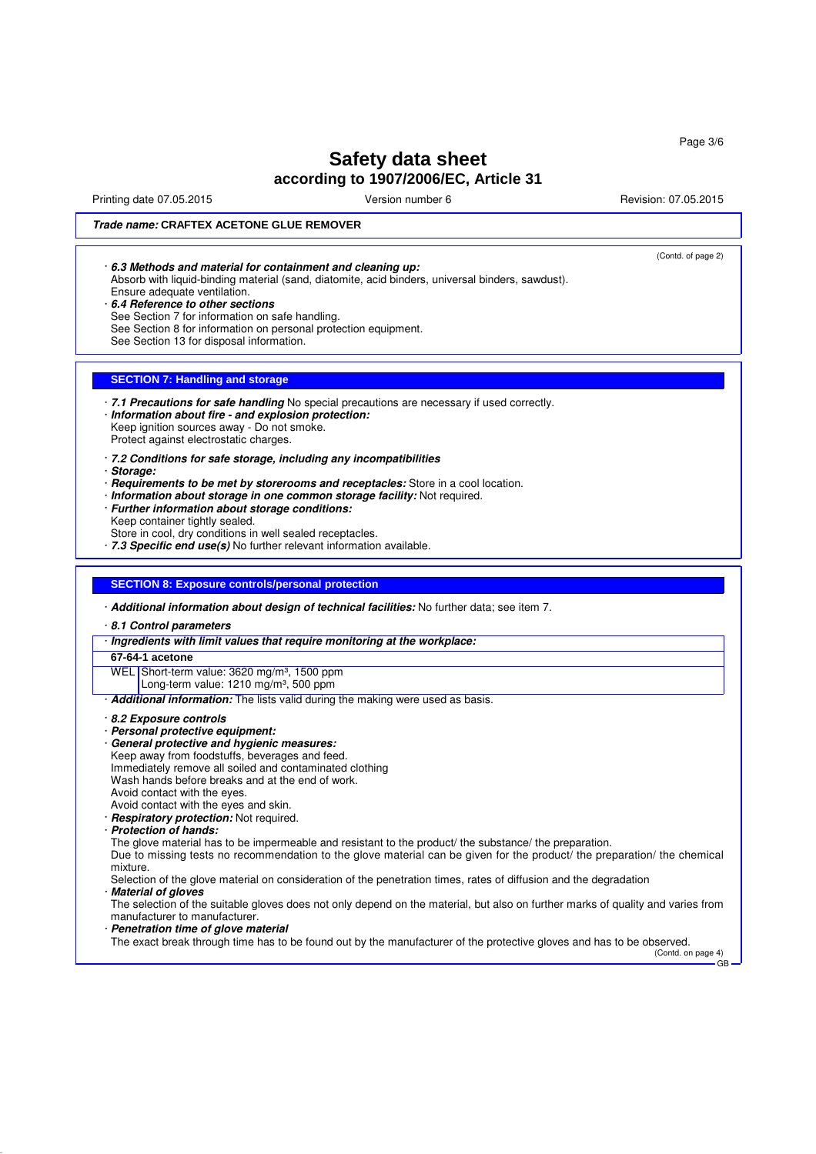Page 3/6

# **Safety data sheet according to 1907/2006/EC, Article 31**

Printing date 07.05.2015 **Principal and COVID-100** Version number 6 Revision: 07.05.2015

(Contd. of page 2)

### **Trade name: CRAFTEX ACETONE GLUE REMOVER**

| 6.3 Methods and material for containment and cleaning up:        |
|------------------------------------------------------------------|
| Absorb with liquid-binding material (sand diatomite acid binders |

rial (sand, diatomite, acid binders, universal binders, sawdust). Ensure adequate ventilation.

· **6.4 Reference to other sections**

See Section 7 for information on safe handling.

See Section 8 for information on personal protection equipment.

See Section 13 for disposal information.

### **SECTION 7: Handling and storage**

· **7.1 Precautions for safe handling** No special precautions are necessary if used correctly. · **Information about fire - and explosion protection:** Keep ignition sources away - Do not smoke.

Protect against electrostatic charges.

- · **7.2 Conditions for safe storage, including any incompatibilities**
- · **Storage:**
- · **Requirements to be met by storerooms and receptacles:** Store in a cool location.
- · **Information about storage in one common storage facility:** Not required.
- · **Further information about storage conditions:** Keep container tightly sealed.
- Store in cool, dry conditions in well sealed receptacles.

· **7.3 Specific end use(s)** No further relevant information available.

### **SECTION 8: Exposure controls/personal protection**

· **Additional information about design of technical facilities:** No further data; see item 7.

· **8.1 Control parameters**

- · **Ingredients with limit values that require monitoring at the workplace:**
- **67-64-1 acetone**

WEL Short-term value: 3620 mg/m<sup>3</sup>, 1500 ppm

Long-term value:  $1210 \text{ mg/m}^3$ , 500 ppm

- · **Additional information:** The lists valid during the making were used as basis.
- · **8.2 Exposure controls**
- · **Personal protective equipment:**
- · **General protective and hygienic measures:** Keep away from foodstuffs, beverages and feed. Immediately remove all soiled and contaminated clothing Wash hands before breaks and at the end of work.
- 
- Avoid contact with the eyes. Avoid contact with the eyes and skin.
- 
- · **Respiratory protection:** Not required.
- · **Protection of hands:**

The glove material has to be impermeable and resistant to the product/ the substance/ the preparation.

Due to missing tests no recommendation to the glove material can be given for the product/ the preparation/ the chemical mixture.

Selection of the glove material on consideration of the penetration times, rates of diffusion and the degradation

· **Material of gloves**

The selection of the suitable gloves does not only depend on the material, but also on further marks of quality and varies from manufacturer to manufacturer.

· **Penetration time of glove material**

The exact break through time has to be found out by the manufacturer of the protective gloves and has to be observed. (Contd. on page 4)

GB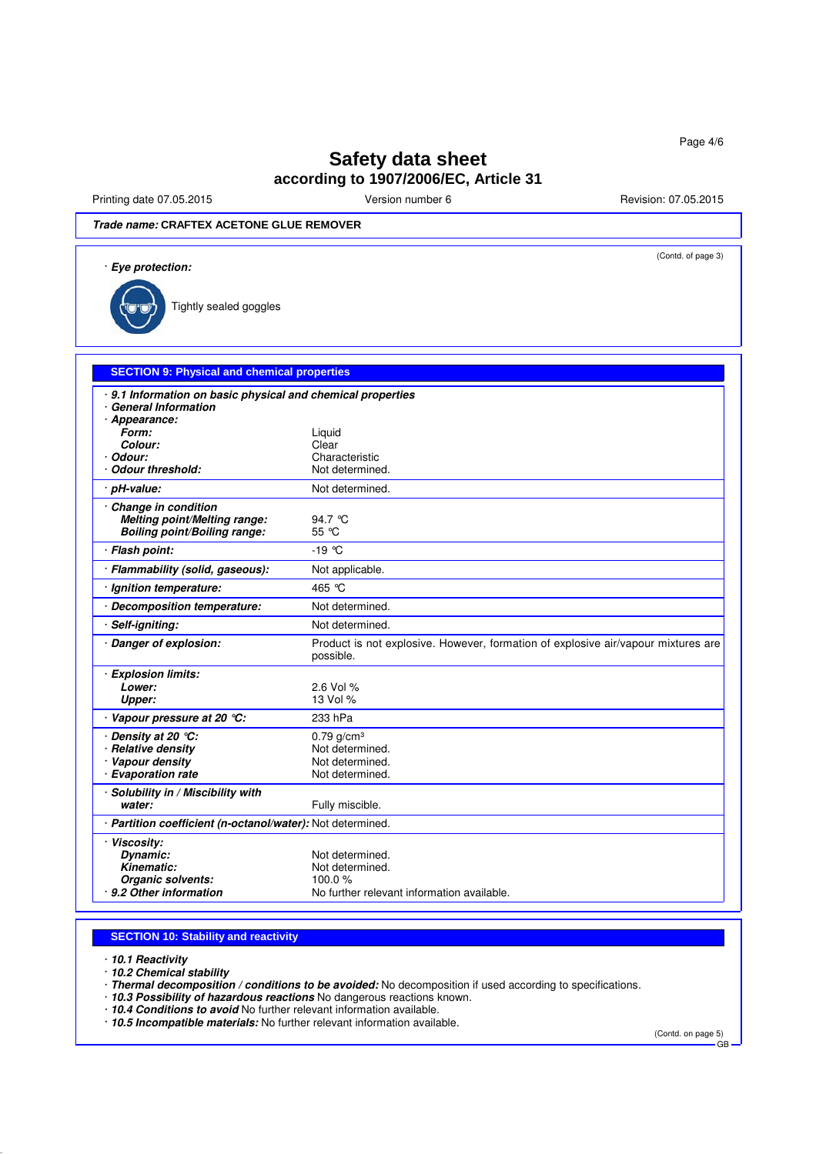Printing date 07.05.2015 **Version number 6** Revision: 07.05.2015 **Revision: 07.05.2015** 

**Trade name: CRAFTEX ACETONE GLUE REMOVER**

| · Eye protection:                                                                   | (Contd. of page 3)                                                                             |
|-------------------------------------------------------------------------------------|------------------------------------------------------------------------------------------------|
| Tightly sealed goggles                                                              |                                                                                                |
| <b>SECTION 9: Physical and chemical properties</b>                                  |                                                                                                |
| · 9.1 Information on basic physical and chemical properties                         |                                                                                                |
| · General Information<br>· Appearance:                                              |                                                                                                |
| Form:                                                                               | Liquid                                                                                         |
| Colour:                                                                             | Clear                                                                                          |
| · Odour:                                                                            | Characteristic                                                                                 |
| Odour threshold:                                                                    | Not determined.                                                                                |
| · pH-value:                                                                         | Not determined.                                                                                |
| Change in condition<br>Melting point/Melting range:<br>Boiling point/Boiling range: | 94.7 ℃<br>55 °C                                                                                |
| · Flash point:                                                                      | $-19^{\circ}$ C                                                                                |
| · Flammability (solid, gaseous):                                                    | Not applicable.                                                                                |
| · Ignition temperature:                                                             | 465 °C                                                                                         |
| · Decomposition temperature:                                                        | Not determined.                                                                                |
| · Self-igniting:                                                                    | Not determined.                                                                                |
| · Danger of explosion:                                                              | Product is not explosive. However, formation of explosive air/vapour mixtures are<br>possible. |
| · Explosion limits:                                                                 |                                                                                                |
| Lower:                                                                              | 2.6 Vol %                                                                                      |
| Upper:                                                                              | 13 Vol %                                                                                       |
| · Vapour pressure at 20 °C:                                                         | 233 hPa                                                                                        |
| Density at 20 °C:                                                                   | $0.79$ g/cm <sup>3</sup>                                                                       |
| · Relative density                                                                  | Not determined.                                                                                |
| · Vapour density                                                                    | Not determined.                                                                                |
| · Evaporation rate                                                                  | Not determined.                                                                                |
| · Solubility in / Miscibility with<br>water:                                        | Fully miscible.                                                                                |
| · Partition coefficient (n-octanol/water): Not determined.                          |                                                                                                |
| · Viscosity:                                                                        |                                                                                                |
| Dynamic:                                                                            | Not determined.                                                                                |
| <b>Kinematic:</b>                                                                   | Not determined.                                                                                |
| Organic solvents:                                                                   | 100.0%                                                                                         |
| · 9.2 Other information                                                             | No further relevant information available.                                                     |

### **SECTION 10: Stability and reactivity**

· **10.1 Reactivity**

· **10.2 Chemical stability**

· **Thermal decomposition / conditions to be avoided:** No decomposition if used according to specifications.

· **10.3 Possibility of hazardous reactions** No dangerous reactions known.

· **10.4 Conditions to avoid** No further relevant information available.

· **10.5 Incompatible materials:** No further relevant information available.

(Contd. on page 5)

GB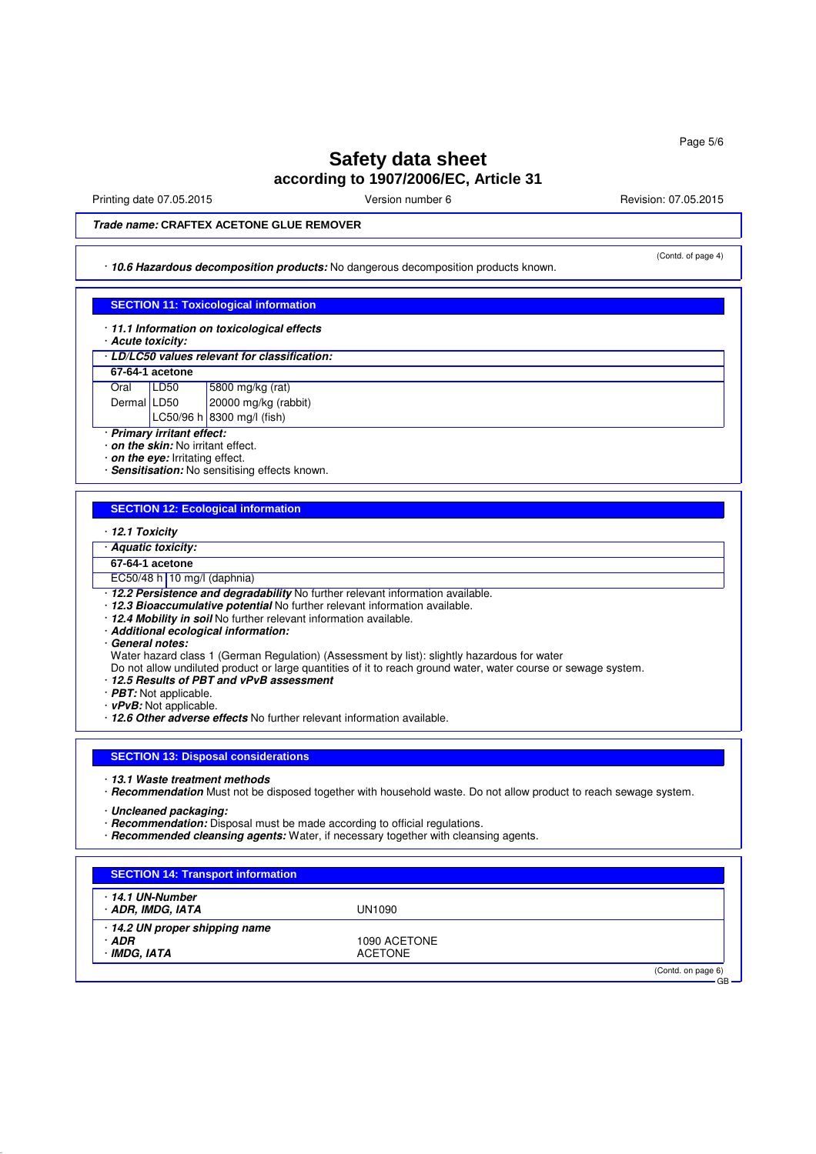Printing date 07.05.2015 **Principal and COVID-100** Version number 6 Revision: 07.05.2015

(Contd. of page 4)

### **Trade name: CRAFTEX ACETONE GLUE REMOVER**

### · **10.6 Hazardous decomposition products:** No dangerous decomposition products known.

### **SECTION 11: Toxicological information**

- · **11.1 Information on toxicological effects**
- · **Acute toxicity:**

#### · **LD/LC50 values relevant for classification:**

|             | 67-64-1 acetone |                                                                                  |
|-------------|-----------------|----------------------------------------------------------------------------------|
| Oral LD50   |                 |                                                                                  |
| Dermal LD50 |                 | LD50 5800 mg/kg (rat)<br>LD50 20000 mg/kg (rabbit)<br>LC50/96 h 8300 mg/l (fish) |
|             |                 |                                                                                  |

· **Primary irritant effect:**

· **on the skin:** No irritant effect.

· **on the eye:** Irritating effect.

· **Sensitisation:** No sensitising effects known.

### **SECTION 12: Ecological information**

- · **12.1 Toxicity**
- · **Aquatic toxicity:**
- **67-64-1 acetone**

EC50/48 h 10 mg/l (daphnia)

- · **12.2 Persistence and degradability** No further relevant information available.
- · **12.3 Bioaccumulative potential** No further relevant information available.
- · **12.4 Mobility in soil** No further relevant information available.
- · **Additional ecological information:**
- · **General notes:**

Water hazard class 1 (German Regulation) (Assessment by list): slightly hazardous for water

- Do not allow undiluted product or large quantities of it to reach ground water, water course or sewage system.
- · **12.5 Results of PBT and vPvB assessment**
- · **PBT:** Not applicable.
- · **vPvB:** Not applicable.
- · **12.6 Other adverse effects** No further relevant information available.

#### **SECTION 13: Disposal considerations**

· **13.1 Waste treatment methods**

· **Recommendation** Must not be disposed together with household waste. Do not allow product to reach sewage system.

· **Uncleaned packaging:**

- · **Recommendation:** Disposal must be made according to official regulations.
- · **Recommended cleansing agents:** Water, if necessary together with cleansing agents.

| · 14.1 UN-Number             |                |  |
|------------------------------|----------------|--|
| · ADR, IMDG, IATA            | UN1090         |  |
| 14.2 UN proper shipping name |                |  |
| · ADR                        | 1090 ACETONE   |  |
| · IMDG, IATA                 | <b>ACETONE</b> |  |